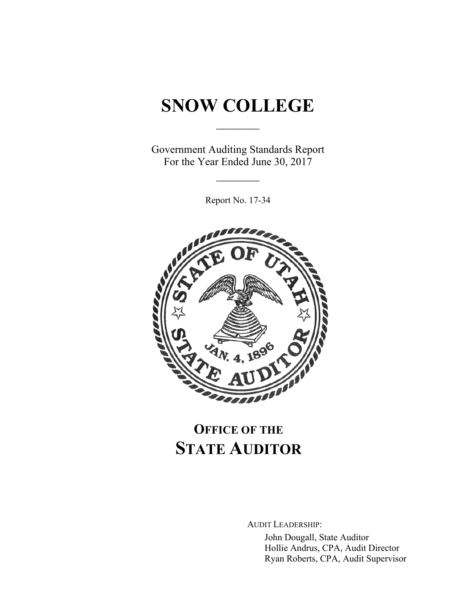# **SNOW COLLEGE**

 $\frac{1}{2}$ 

Government Auditing Standards Report For the Year Ended June 30, 2017

 $\frac{1}{2}$ 

Report No. 17-34



## **OFFICE OF THE STATE AUDITOR**

AUDIT LEADERSHIP:

John Dougall, State Auditor Hollie Andrus, CPA, Audit Director Ryan Roberts, CPA, Audit Supervisor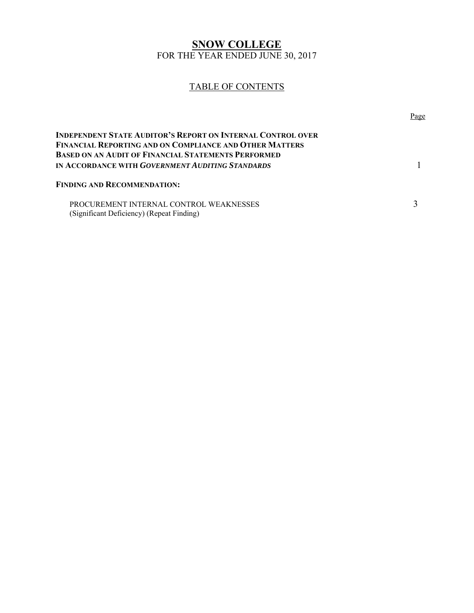#### **SNOW COLLEGE**  FOR THE YEAR ENDED JUNE 30, 2017

#### TABLE OF CONTENTS

|                                                                                                                                                                                                                                                        | Page |
|--------------------------------------------------------------------------------------------------------------------------------------------------------------------------------------------------------------------------------------------------------|------|
| <b>INDEPENDENT STATE AUDITOR'S REPORT ON INTERNAL CONTROL OVER</b><br><b>FINANCIAL REPORTING AND ON COMPLIANCE AND OTHER MATTERS</b><br><b>BASED ON AN AUDIT OF FINANCIAL STATEMENTS PERFORMED</b><br>IN ACCORDANCE WITH GOVERNMENT AUDITING STANDARDS |      |
| <b>FINDING AND RECOMMENDATION:</b>                                                                                                                                                                                                                     |      |
| PROCUREMENT INTERNAL CONTROL WEAKNESSES<br>(Significant Deficiency) (Repeat Finding)                                                                                                                                                                   |      |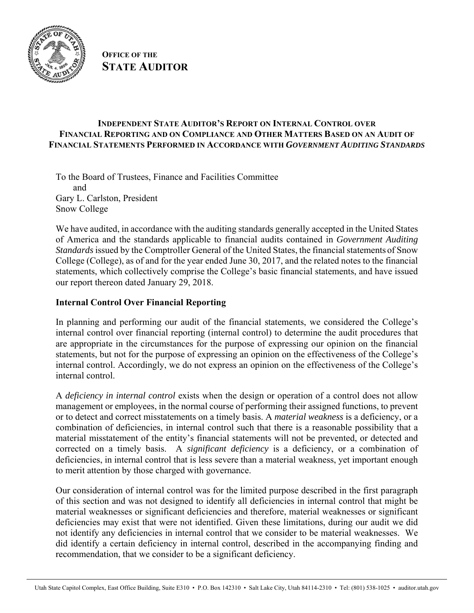

**OFFICE OF THE STATE AUDITOR**

#### **INDEPENDENT STATE AUDITOR'S REPORT ON INTERNAL CONTROL OVER FINANCIAL REPORTING AND ON COMPLIANCE AND OTHER MATTERS BASED ON AN AUDIT OF FINANCIAL STATEMENTS PERFORMED IN ACCORDANCE WITH** *GOVERNMENT AUDITING STANDARDS*

To the Board of Trustees, Finance and Facilities Committee and Gary L. Carlston, President Snow College

We have audited, in accordance with the auditing standards generally accepted in the United States of America and the standards applicable to financial audits contained in *Government Auditing Standards* issued by the Comptroller General of the United States, the financial statements of Snow College (College), as of and for the year ended June 30, 2017, and the related notes to the financial statements, which collectively comprise the College's basic financial statements, and have issued our report thereon dated January 29, 2018.

#### **Internal Control Over Financial Reporting**

In planning and performing our audit of the financial statements, we considered the College's internal control over financial reporting (internal control) to determine the audit procedures that are appropriate in the circumstances for the purpose of expressing our opinion on the financial statements, but not for the purpose of expressing an opinion on the effectiveness of the College's internal control. Accordingly, we do not express an opinion on the effectiveness of the College's internal control.

A *deficiency in internal control* exists when the design or operation of a control does not allow management or employees, in the normal course of performing their assigned functions, to prevent or to detect and correct misstatements on a timely basis. A *material weakness* is a deficiency, or a combination of deficiencies, in internal control such that there is a reasonable possibility that a material misstatement of the entity's financial statements will not be prevented, or detected and corrected on a timely basis. A *significant deficiency* is a deficiency, or a combination of deficiencies, in internal control that is less severe than a material weakness, yet important enough to merit attention by those charged with governance.

Our consideration of internal control was for the limited purpose described in the first paragraph of this section and was not designed to identify all deficiencies in internal control that might be material weaknesses or significant deficiencies and therefore, material weaknesses or significant deficiencies may exist that were not identified. Given these limitations, during our audit we did not identify any deficiencies in internal control that we consider to be material weaknesses. We did identify a certain deficiency in internal control, described in the accompanying finding and recommendation, that we consider to be a significant deficiency.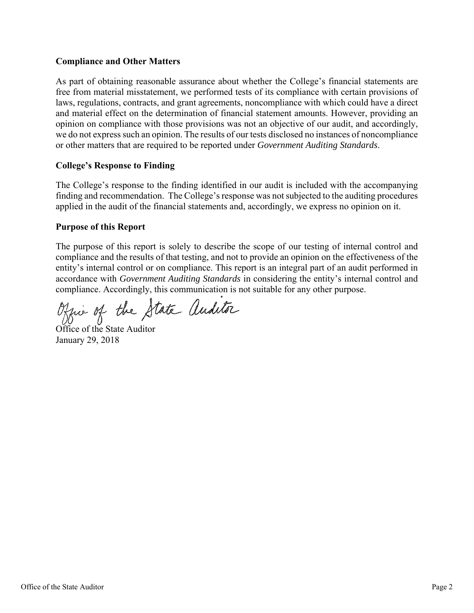#### **Compliance and Other Matters**

As part of obtaining reasonable assurance about whether the College's financial statements are free from material misstatement, we performed tests of its compliance with certain provisions of laws, regulations, contracts, and grant agreements, noncompliance with which could have a direct and material effect on the determination of financial statement amounts. However, providing an opinion on compliance with those provisions was not an objective of our audit, and accordingly, we do not express such an opinion. The results of our tests disclosed no instances of noncompliance or other matters that are required to be reported under *Government Auditing Standards*.

#### **College's Response to Finding**

The College's response to the finding identified in our audit is included with the accompanying finding and recommendation. The College's response was not subjected to the auditing procedures applied in the audit of the financial statements and, accordingly, we express no opinion on it.

#### **Purpose of this Report**

The purpose of this report is solely to describe the scope of our testing of internal control and compliance and the results of that testing, and not to provide an opinion on the effectiveness of the entity's internal control or on compliance. This report is an integral part of an audit performed in accordance with *Government Auditing Standards* in considering the entity's internal control and compliance. Accordingly, this communication is not suitable for any other purpose.

Office of the State Auditor

January 29, 2018